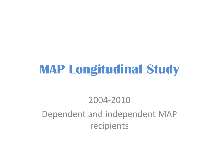### **MAP Longitudinal Study**

#### 2004-2010

#### Dependent and independent MAP recipients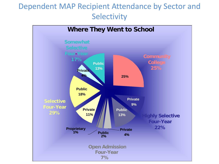#### Dependent MAP Recipient Attendance by Sector and **Selectivity**

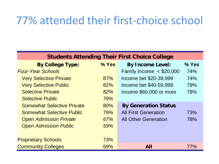#### 77% attended their first-choice school

| <b>Students Attending Their First Choice College</b> |            |                             |         |  |  |  |
|------------------------------------------------------|------------|-----------------------------|---------|--|--|--|
| <b>By College Type:</b>                              | $%$ Yes    | <b>By Income Level:</b>     | $%$ Yes |  |  |  |
| <b>Four-Year Schools</b>                             |            | Family Income $<$ \$20,000  | 74%     |  |  |  |
| <b>Very Selective Private</b>                        | 87%        | Income bet \$20-39,999      | 74%     |  |  |  |
| <b>Very Selective Public</b>                         | 82%        | Income bet \$40-59,999      | 79%     |  |  |  |
| <b>Selective Private</b>                             | 82%        | Income \$60,000 or more     | 78%     |  |  |  |
| <b>Selective Public</b>                              | 79%        |                             |         |  |  |  |
| <b>Somewhat Selective Private</b>                    | 80%        | <b>By Generation Status</b> |         |  |  |  |
| <b>Somewhat Selective Public</b>                     | 79%        | <b>All First Generation</b> | 73%     |  |  |  |
| <b>Open Admission Private</b>                        | 67%        | <b>All Other Generation</b> | 78%     |  |  |  |
| <b>Open Admission Public</b>                         | 59%        |                             |         |  |  |  |
|                                                      |            |                             |         |  |  |  |
| <b>Proprietary Schools</b>                           | <b>73%</b> |                             |         |  |  |  |
| <b>Community Colleges</b>                            | 69%        | All                         | 77%     |  |  |  |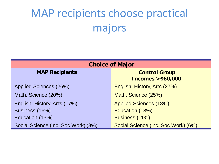# MAP recipients choose practical majors

| <b>Choice of Major</b>              |                                             |  |  |  |
|-------------------------------------|---------------------------------------------|--|--|--|
| <b>MAP Recipients</b>               | <b>Control Group</b><br>Incomes $> $60,000$ |  |  |  |
| Applied Sciences (26%)              | English, History, Arts (27%)                |  |  |  |
| Math, Science (20%)                 | Math, Science (25%)                         |  |  |  |
| English, History, Arts (17%)        | <b>Applied Sciences (18%)</b>               |  |  |  |
| Business (16%)                      | Education (13%)                             |  |  |  |
| Education (13%)                     | Business (11%)                              |  |  |  |
| Social Science (inc. Soc Work) (8%) | Social Science (inc. Soc Work) (6%)         |  |  |  |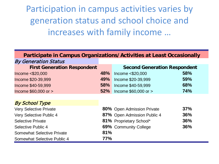Participation in campus activities varies by generation status and school choice and increases with family income …

| Participate in Campus Organizations/Activities at Least Occasionally |            |                                     |            |  |
|----------------------------------------------------------------------|------------|-------------------------------------|------------|--|
| <b>By Generation Status</b>                                          |            |                                     |            |  |
| <b>First Generation Respondent</b>                                   |            | <b>Second Generation Respondent</b> |            |  |
| Income $<$ \$20,000                                                  | 48%        | Income < \$20,000                   | 58%        |  |
| Income \$20-39,999                                                   | 49%        | Income \$20-39,999                  | 59%        |  |
| Income \$40-59,999                                                   | <b>58%</b> | Income \$40-59,999                  | 68%        |  |
| Income $$60,000$ or $>$                                              | 52%        | Income $$60,000$ or $>$             | <b>74%</b> |  |
|                                                                      |            |                                     |            |  |
| <b>By School Type</b>                                                |            |                                     |            |  |
| <b>Very Selective Private</b>                                        |            | 80% Open Admission Private          | 37%        |  |
| Very Selective Public 4                                              |            | 87% Open Admission Public 4         | 36%        |  |
| <b>Selective Private</b>                                             |            | 81% Proprietary School*             | 36%        |  |
| Selective Public 4                                                   |            | 69% Community College               | 36%        |  |
| <b>Somewhat Selective Private</b>                                    | 81%        |                                     |            |  |
| Somewhat Selective Public 4                                          | 77%        |                                     |            |  |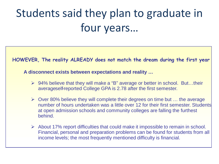# Students said they plan to graduate in four years…

**HOWEVER, The reality ALREADY does not match the dream during the first year**

**A disconnect exists between expectations and reality …**

- 94% believe that they will make a "B" average or better in school. But…their averageself-reported College GPA is 2.78 after the first semester.
- $\triangleright$  Over 80% believe they will complete their degrees on time but ... the average number of hours undertaken was a little over 12 for their first semester. Students at open admission schools and community colleges are falling the furthest behind.
- $\triangleright$  About 17% report difficulties that could make it impossible to remain in school. Financial, personal and preparation problems can be found for students from all income levels; the most frequently mentioned difficulty is financial.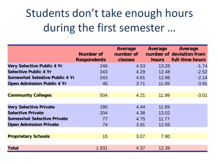### Students don't take enough hours during the first semester …

|                                       | Number of<br><b>Respondents</b> | Average<br>number of<br>classes | Average<br><b>hours</b> | Average<br>number of deviation from<br>full-time hours |
|---------------------------------------|---------------------------------|---------------------------------|-------------------------|--------------------------------------------------------|
| <b>Very Selective Public 4 Yr</b>     | 246                             | 4.53                            | 13.26                   | $-1.74$                                                |
| <b>Selective Public 4 Yr</b>          | 343                             | 4.29                            | 12.48                   | $-2.52$                                                |
| <b>Somewhat Selective Public 4 Yr</b> | 243                             | 4.81                            | 12.86                   | $-2.14$                                                |
| <b>Open Admission Public 4 Yr</b>     | 45                              | 3.71                            | 11.09                   | $-3.91$                                                |
|                                       |                                 |                                 |                         |                                                        |
| <b>Community Colleges</b>             | 504                             | 4.21                            | 11.99                   | $-3.01$                                                |
|                                       |                                 |                                 |                         |                                                        |
| <b>Very Selective Private</b>         | 180                             | 4.44                            | 11.69                   |                                                        |
| <b>Selective Private</b>              | 204                             | 4.38                            | 13.02                   |                                                        |
| <b>Somewhat Selective Private</b>     | 77                              | 4.75                            | 11.77                   |                                                        |
| <b>Open Admission Private</b>         | 74                              | 3.91                            | 12.55                   |                                                        |
|                                       |                                 |                                 |                         |                                                        |
| <b>Proprietary Schools</b>            | 15                              | 3.07                            | 7.80                    |                                                        |
|                                       |                                 |                                 |                         |                                                        |
| <b>Total</b>                          | 1,931                           | 4.37                            | 12.39                   |                                                        |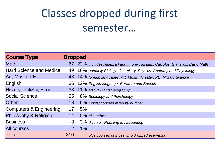### Classes dropped during first semester…

| <b>Course Type</b>                 | <b>Dropped</b> |                                                                                  |
|------------------------------------|----------------|----------------------------------------------------------------------------------|
| <b>Math</b>                        |                | 67 22% includes Algebra I and II, pre-Calculus, Calculus, Statistics, Basic Math |
| <b>Hard Science and Medical</b>    |                | 49 16% primarily Biology, Chemistry, Physics, Anatomy and Physiology             |
| Art, Music, PE                     |                | 43 14% foreign languages, Art, Music, Theater, PE, Military Science              |
| English                            |                | 36 12% English language, literature and Speech                                   |
| History, PoliSci, Econ             |                | 33 11% also law and Geography                                                    |
| <b>Social Science</b>              | 25             | 8% Sociology and Psychology                                                      |
| Other                              | 18             | 6% mostly courses listed by number                                               |
| <b>Computers &amp; Engineering</b> | 17             | 5%                                                                               |
| Philosophy & Religion              | 14             | 5% also ethics                                                                   |
| <b>Business</b>                    | 8              | 3% diverse - Retailing to Accounting                                             |
| <b>All courses</b>                 | $\overline{2}$ | 1%                                                                               |
| <b>Total</b>                       | 310            | plus courses of those who dropped everything                                     |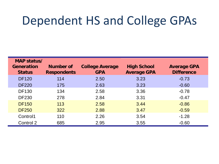#### Dependent HS and College GPAs

| MAP status/       |                    |                        |                    |                    |
|-------------------|--------------------|------------------------|--------------------|--------------------|
| <b>Generation</b> | Number of          | <b>College Average</b> | <b>High School</b> | <b>Average GPA</b> |
| <b>Status</b>     | <b>Respondents</b> | <b>GPA</b>             | <b>Average GPA</b> | <b>Difference</b>  |
| <b>DF120</b>      | 114                | 2.50                   | 3.23               | $-0.73$            |
| <b>DF220</b>      | 175                | 2.63                   | 3.23               | $-0.60$            |
| <b>DF130</b>      | 134                | 2.58                   | 3.36               | $-0.78$            |
| <b>DF230</b>      | 278                | 2.84                   | 3.31               | $-0.47$            |
| <b>DF150</b>      | 113                | 2.58                   | 3.44               | $-0.86$            |
| <b>DF250</b>      | 322                | 2.88                   | 3.47               | $-0.59$            |
| Control1          | 110                | 2.26                   | 3.54               | $-1.28$            |
| Control 2         | 685                | 2.95                   | 3.55               | $-0.60$            |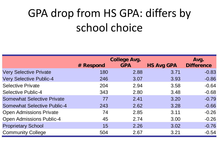# GPA drop from HS GPA: differs by school choice

|                                    | <b>College Avg.</b> |            |                   | Avg.              |
|------------------------------------|---------------------|------------|-------------------|-------------------|
|                                    | # Respond           | <b>GPA</b> | <b>HS Avg GPA</b> | <b>Difference</b> |
| <b>Very Selective Private</b>      | 180                 | 2.88       | 3.71              | $-0.83$           |
| <b>Very Selective Public-4</b>     | 246                 | 3.07       | 3.93              | $-0.86$           |
| <b>Selective Private</b>           | 204                 | 2.94       | 3.58              | $-0.64$           |
| <b>Selective Public-4</b>          | 343                 | 2.80       | 3.48              | $-0.68$           |
| <b>Somewhat Selective Private</b>  | 77                  | 2.41       | 3.20              | $-0.79$           |
| <b>Somewhat Selective Public-4</b> | 243                 | 2.62       | 3.28              | $-0.66$           |
| <b>Open Admissions Private</b>     | 74                  | 2.85       | 3.11              | $-0.26$           |
| <b>Open Admissions Public-4</b>    | 45                  | 2.74       | 3.00              | $-0.26$           |
| <b>Proprietary School</b>          | 15                  | 2.26       | 3.02              | $-0.76$           |
| <b>Community College</b>           | 504                 | 2.67       | 3.21              | $-0.54$           |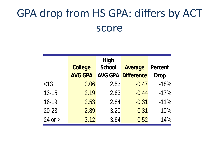#### GPA drop from HS GPA: differs by ACT score

|             | <b>College</b> | <b>High</b><br><b>School</b> | <b>Average</b>            | <b>Percent</b> |
|-------------|----------------|------------------------------|---------------------------|----------------|
|             | <b>AVG GPA</b> |                              | <b>AVG GPA Difference</b> | <b>Drop</b>    |
| < 13        | 2.06           | 2.53                         | $-0.47$                   | $-18%$         |
| $13 - 15$   | 2.19           | 2.63                         | $-0.44$                   | $-17%$         |
| 16-19       | 2.53           | 2.84                         | $-0.31$                   | $-11%$         |
| $20 - 23$   | 2.89           | 3.20                         | $-0.31$                   | $-10%$         |
| $24$ or $>$ | 3.12           | 3.64                         | $-0.52$                   | $-14%$         |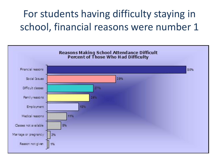#### For students having difficulty staying in school, financial reasons were number 1

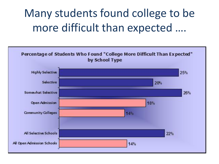### Many students found college to be more difficult than expected ….